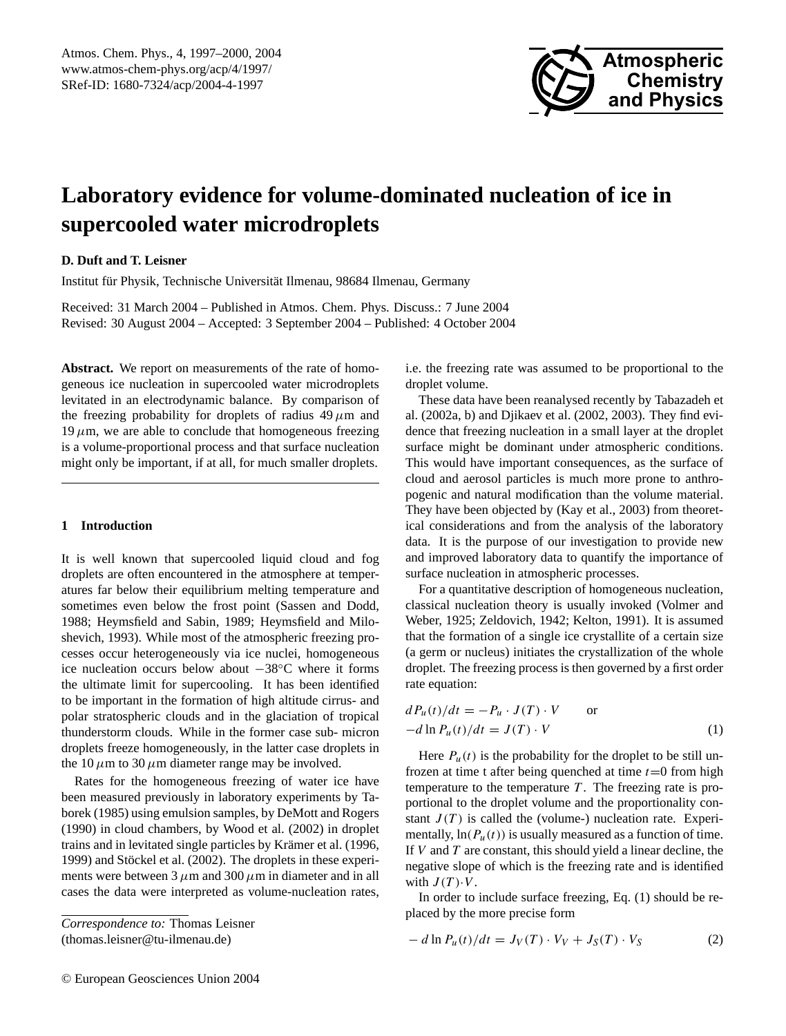

# **Laboratory evidence for volume-dominated nucleation of ice in supercooled water microdroplets**

# **D. Duft and T. Leisner**

Institut für Physik, Technische Universität Ilmenau, 98684 Ilmenau, Germany

Received: 31 March 2004 – Published in Atmos. Chem. Phys. Discuss.: 7 June 2004 Revised: 30 August 2004 – Accepted: 3 September 2004 – Published: 4 October 2004

**Abstract.** We report on measurements of the rate of homogeneous ice nucleation in supercooled water microdroplets levitated in an electrodynamic balance. By comparison of the freezing probability for droplets of radius  $49 \mu m$  and  $19 \mu$ m, we are able to conclude that homogeneous freezing is a volume-proportional process and that surface nucleation might only be important, if at all, for much smaller droplets.

#### **1 Introduction**

It is well known that supercooled liquid cloud and fog droplets are often encountered in the atmosphere at temperatures far below their equilibrium melting temperature and sometimes even below the frost point (Sassen and Dodd, 1988; Heymsfield and Sabin, 1989; Heymsfield and Miloshevich, 1993). While most of the atmospheric freezing processes occur heterogeneously via ice nuclei, homogeneous ice nucleation occurs below about −38◦C where it forms the ultimate limit for supercooling. It has been identified to be important in the formation of high altitude cirrus- and polar stratospheric clouds and in the glaciation of tropical thunderstorm clouds. While in the former case sub- micron droplets freeze homogeneously, in the latter case droplets in the 10  $\mu$ m to 30  $\mu$ m diameter range may be involved.

Rates for the homogeneous freezing of water ice have been measured previously in laboratory experiments by Taborek (1985) using emulsion samples, by DeMott and Rogers (1990) in cloud chambers, by Wood et al. (2002) in droplet trains and in levitated single particles by Krämer et al. (1996, 1999) and Stöckel et al. (2002). The droplets in these experiments were between 3  $\mu$ m and 300  $\mu$ m in diameter and in all cases the data were interpreted as volume-nucleation rates,

<span id="page-0-0"></span>*Correspondence to:* Thomas Leisner (thomas.leisner@tu-ilmenau.de)

i.e. the freezing rate was assumed to be proportional to the droplet volume.

These data have been reanalysed recently by Tabazadeh et al. (2002a, b) and Djikaev et al. (2002, 2003). They find evidence that freezing nucleation in a small layer at the droplet surface might be dominant under atmospheric conditions. This would have important consequences, as the surface of cloud and aerosol particles is much more prone to anthropogenic and natural modification than the volume material. They have been objected by (Kay et al., 2003) from theoretical considerations and from the analysis of the laboratory data. It is the purpose of our investigation to provide new and improved laboratory data to quantify the importance of surface nucleation in atmospheric processes.

For a quantitative description of homogeneous nucleation, classical nucleation theory is usually invoked (Volmer and Weber, 1925; Zeldovich, 1942; Kelton, 1991). It is assumed that the formation of a single ice crystallite of a certain size (a germ or nucleus) initiates the crystallization of the whole droplet. The freezing process is then governed by a first order rate equation:

$$
dP_u(t)/dt = -P_u \cdot J(T) \cdot V \qquad \text{or}
$$
  
-d ln P\_u(t)/dt = J(T) \cdot V \qquad (1)

Here  $P_u(t)$  is the probability for the droplet to be still unfrozen at time t after being quenched at time  $t=0$  from high temperature to the temperature  $T$ . The freezing rate is proportional to the droplet volume and the proportionality constant  $J(T)$  is called the (volume-) nucleation rate. Experimentally,  $ln(P_u(t))$  is usually measured as a function of time. If  $V$  and  $T$  are constant, this should yield a linear decline, the negative slope of which is the freezing rate and is identified with  $J(T) \cdot V$ .

In order to include surface freezing, Eq. (1) should be replaced by the more precise form

$$
- d \ln P_u(t) / dt = J_V(T) \cdot V_V + J_S(T) \cdot V_S \tag{2}
$$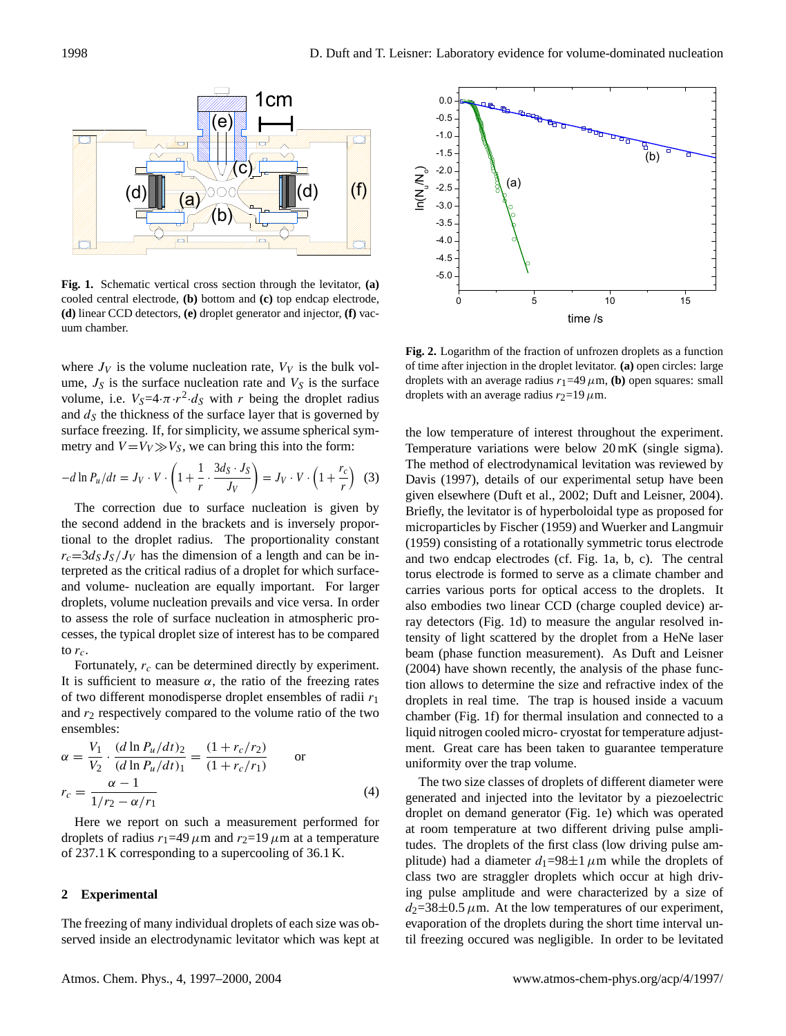

cooled central electrode, **(b)** bottom and **(c)** top endcap electrode, **(d)** linear CCD detectors, **(e)** droplet generator and injector, **(f)** vac*injector, (f) vacuum chamber.*  uum chamber. **Fig. 1.** Schematic vertical cross section through the levitator, **(a)**

where  $J_V$  is the volume nucleation rate,  $V_V$  is the bulk volume,  $J<sub>S</sub>$  is the surface nucleation rate and  $V<sub>S</sub>$  is the surface volume, i.e.  $V_S = 4 \cdot \pi \cdot r^2 \cdot d_S$  with r being the droplet radius and  $d<sub>S</sub>$  the thickness of the surface layer that is governed by surface freezing. If, for simplicity, we assume spherical symmetry and  $V = V_V \gg V_S$ , we can bring this into the form:

$$
-d\ln P_u/dt = J_V \cdot V \cdot \left(1 + \frac{1}{r} \cdot \frac{3d_S \cdot J_S}{J_V}\right) = J_V \cdot V \cdot \left(1 + \frac{r_c}{r}\right) \tag{3}
$$

The correction due to surface nucleation is given by the second addend in the brackets and is inversely proportional to the droplet radius. The proportionality constant  $r_c=3d_SJ_S/J_V$  has the dimension of a length and can be interpreted as the critical radius of a droplet for which surfaceand volume- nucleation are equally important. For larger droplets, volume nucleation prevails and vice versa. In order to assess the role of surface nucleation in atmospheric processes, the typical droplet size of interest has to be compared to  $r_c$ .

Fortunately,  $r_c$  can be determined directly by experiment. It is sufficient to measure  $\alpha$ , the ratio of the freezing rates of two different monodisperse droplet ensembles of radii  $r_1$ and  $r_2$  respectively compared to the volume ratio of the two ensembles:

$$
\alpha = \frac{V_1}{V_2} \cdot \frac{(d \ln P_u/dt)_2}{(d \ln P_u/dt)_1} = \frac{(1 + r_c/r_2)}{(1 + r_c/r_1)} \quad \text{or}
$$
  

$$
r_c = \frac{\alpha - 1}{1/r_2 - \alpha/r_1}
$$
 (4)

Here we report on such a measurement performed for droplets of radius  $r_1=49 \mu m$  and  $r_2=19 \mu m$  at a temperature of 237.1 K corresponding to a supercooling of 36.1 K.

### **2 Experimental**

The freezing of many individual droplets of each size was observed inside an electrodynamic levitator which was kept at



*Fig.2 Logarithm of the fraction of unfrozen droplets as a function of time after injection in the*  of time after injection in the droplet levitator. **(a)** open circles: large droplets with an average radius  $r_1$ =49 $\mu$ m, **(b)** open squares: small droplets with an average radius  $r_2$ =19 $\mu$ m. **Fig. 2.** Logarithm of the fraction of unfrozen droplets as a function

the low temperature of interest throughout the experiment. Temperature variations were below 20 mK (single sigma). The method of electrodynamical levitation was reviewed by Davis (1997), details of our experimental setup have been given elsewhere (Duft et al., 2002; Duft and Leisner, 2004). Briefly, the levitator is of hyperboloidal type as proposed for microparticles by Fischer (1959) and Wuerker and Langmuir (1959) consisting of a rotationally symmetric torus electrode and two endcap electrodes (cf. Fig. 1a, b, c). The central torus electrode is formed to serve as a climate chamber and carries various ports for optical access to the droplets. It also embodies two linear CCD (charge coupled device) array detectors (Fig. 1d) to measure the angular resolved intensity of light scattered by the droplet from a HeNe laser beam (phase function measurement). As Duft and Leisner (2004) have shown recently, the analysis of the phase function allows to determine the size and refractive index of the droplets in real time. The trap is housed inside a vacuum chamber (Fig. 1f) for thermal insulation and connected to a liquid nitrogen cooled micro- cryostat for temperature adjustment. Great care has been taken to guarantee temperature uniformity over the trap volume.

The two size classes of droplets of different diameter were generated and injected into the levitator by a piezoelectric droplet on demand generator (Fig. 1e) which was operated at room temperature at two different driving pulse amplitudes. The droplets of the first class (low driving pulse amplitude) had a diameter  $d_1=98\pm1 \mu m$  while the droplets of class two are straggler droplets which occur at high driving pulse amplitude and were characterized by a size of  $d_2$ =38 $\pm$ 0.5  $\mu$ m. At the low temperatures of our experiment, evaporation of the droplets during the short time interval until freezing occured was negligible. In order to be levitated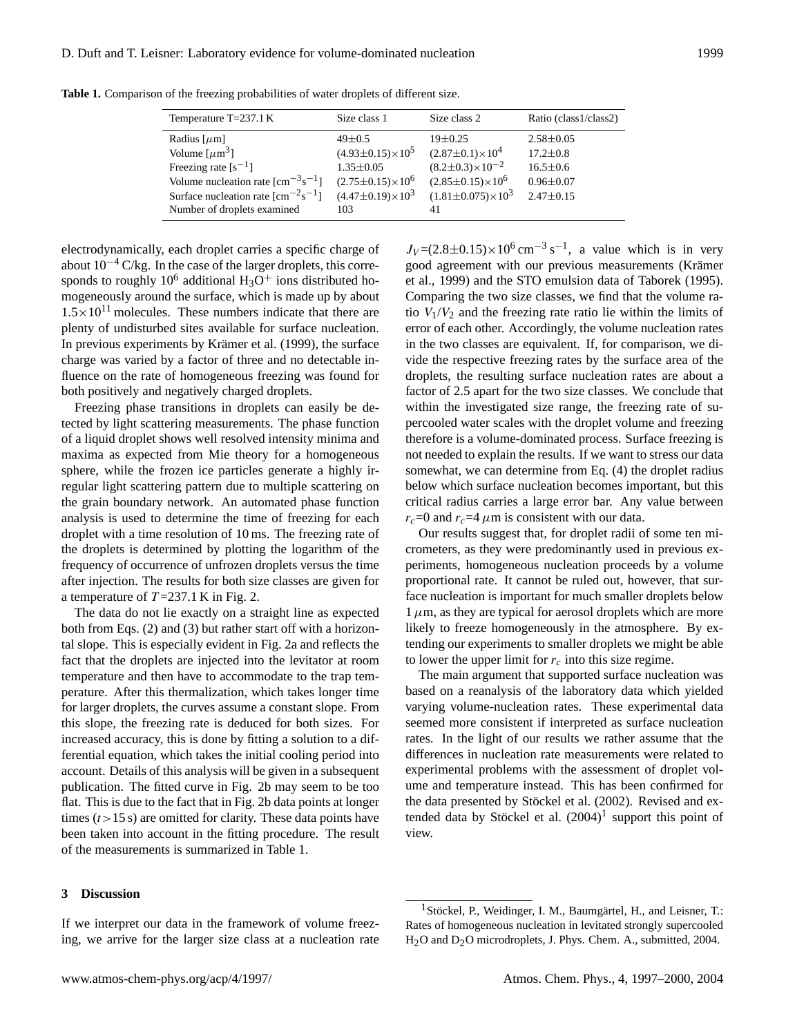| Temperature $T=237.1 K$                                                      | Size class 1                  | Size class 2                   | Ratio (class1/class2) |
|------------------------------------------------------------------------------|-------------------------------|--------------------------------|-----------------------|
| Radius $[\mu m]$                                                             | $49 \pm 0.5$                  | $19+0.25$                      | $2.58 \pm 0.05$       |
| Volume $[\mu m^3]$                                                           | $(4.93 \pm 0.15) \times 10^5$ | $(2.87 \pm 0.1) \times 10^4$   | $17.2 \pm 0.8$        |
| Freezing rate $[s^{-1}]$                                                     | $1.35 \pm 0.05$               | $(8.2 \pm 0.3) \times 10^{-2}$ | $16.5 \pm 0.6$        |
| Volume nucleation rate $\lfloor$ cm <sup>-3</sup> s <sup>-1</sup> $\rfloor$  | $(2.75 \pm 0.15) \times 10^6$ | $(2.85 \pm 0.15) \times 10^6$  | $0.96 \pm 0.07$       |
| Surface nucleation rate $\lfloor$ cm <sup>-2</sup> s <sup>-1</sup> $\rfloor$ | $(4.47\pm0.19)\times10^3$     | $(1.81 \pm 0.075) \times 10^3$ | $2.47 \pm 0.15$       |
| Number of droplets examined                                                  | 103                           | 41                             |                       |

**Table 1.** Comparison of the freezing probabilities of water droplets of different size.

electrodynamically, each droplet carries a specific charge of about  $10^{-4}$  C/kg. In the case of the larger droplets, this corresponds to roughly  $10^6$  additional  $H_3O^+$  ions distributed homogeneously around the surface, which is made up by about  $1.5 \times 10^{11}$  molecules. These numbers indicate that there are plenty of undisturbed sites available for surface nucleation. In previous experiments by Krämer et al. (1999), the surface charge was varied by a factor of three and no detectable influence on the rate of homogeneous freezing was found for both positively and negatively charged droplets.

Freezing phase transitions in droplets can easily be detected by light scattering measurements. The phase function of a liquid droplet shows well resolved intensity minima and maxima as expected from Mie theory for a homogeneous sphere, while the frozen ice particles generate a highly irregular light scattering pattern due to multiple scattering on the grain boundary network. An automated phase function analysis is used to determine the time of freezing for each droplet with a time resolution of 10 ms. The freezing rate of the droplets is determined by plotting the logarithm of the frequency of occurrence of unfrozen droplets versus the time after injection. The results for both size classes are given for a temperature of  $T = 237.1$  K in Fig. 2.

The data do not lie exactly on a straight line as expected both from Eqs. (2) and (3) but rather start off with a horizontal slope. This is especially evident in Fig. 2a and reflects the fact that the droplets are injected into the levitator at room temperature and then have to accommodate to the trap temperature. After this thermalization, which takes longer time for larger droplets, the curves assume a constant slope. From this slope, the freezing rate is deduced for both sizes. For increased accuracy, this is done by fitting a solution to a differential equation, which takes the initial cooling period into account. Details of this analysis will be given in a subsequent publication. The fitted curve in Fig. 2b may seem to be too flat. This is due to the fact that in Fig. 2b data points at longer times  $(t>15 s)$  are omitted for clarity. These data points have been taken into account in the fitting procedure. The result of the measurements is summarized in Table 1.

### **3 Discussion**

If we interpret our data in the framework of volume freezing, we arrive for the larger size class at a nucleation rate

 $J_V = (2.8 \pm 0.15) \times 10^6 \text{ cm}^{-3} \text{ s}^{-1}$ , a value which is in very good agreement with our previous measurements (Krämer et al., 1999) and the STO emulsion data of Taborek (1995). Comparing the two size classes, we find that the volume ratio  $V_1/V_2$  and the freezing rate ratio lie within the limits of error of each other. Accordingly, the volume nucleation rates in the two classes are equivalent. If, for comparison, we divide the respective freezing rates by the surface area of the droplets, the resulting surface nucleation rates are about a factor of 2.5 apart for the two size classes. We conclude that within the investigated size range, the freezing rate of supercooled water scales with the droplet volume and freezing therefore is a volume-dominated process. Surface freezing is not needed to explain the results. If we want to stress our data somewhat, we can determine from Eq. (4) the droplet radius below which surface nucleation becomes important, but this critical radius carries a large error bar. Any value between  $r_c$ =0 and  $r_c$ =4  $\mu$ m is consistent with our data.

Our results suggest that, for droplet radii of some ten micrometers, as they were predominantly used in previous experiments, homogeneous nucleation proceeds by a volume proportional rate. It cannot be ruled out, however, that surface nucleation is important for much smaller droplets below  $1 \mu$ m, as they are typical for aerosol droplets which are more likely to freeze homogeneously in the atmosphere. By extending our experiments to smaller droplets we might be able to lower the upper limit for  $r_c$  into this size regime.

The main argument that supported surface nucleation was based on a reanalysis of the laboratory data which yielded varying volume-nucleation rates. These experimental data seemed more consistent if interpreted as surface nucleation rates. In the light of our results we rather assume that the differences in nucleation rate measurements were related to experimental problems with the assessment of droplet volume and temperature instead. This has been confirmed for the data presented by Stöckel et al. (2002). Revised and extended data by Stöckel et al.  $(2004)^1$  $(2004)^1$  support this point of view.

<span id="page-2-0"></span><sup>&</sup>lt;sup>1</sup> Stöckel, P., Weidinger, I. M., Baumgärtel, H., and Leisner, T.: Rates of homogeneous nucleation in levitated strongly supercooled H<sub>2</sub>O and D<sub>2</sub>O microdroplets, J. Phys. Chem. A., submitted, 2004.